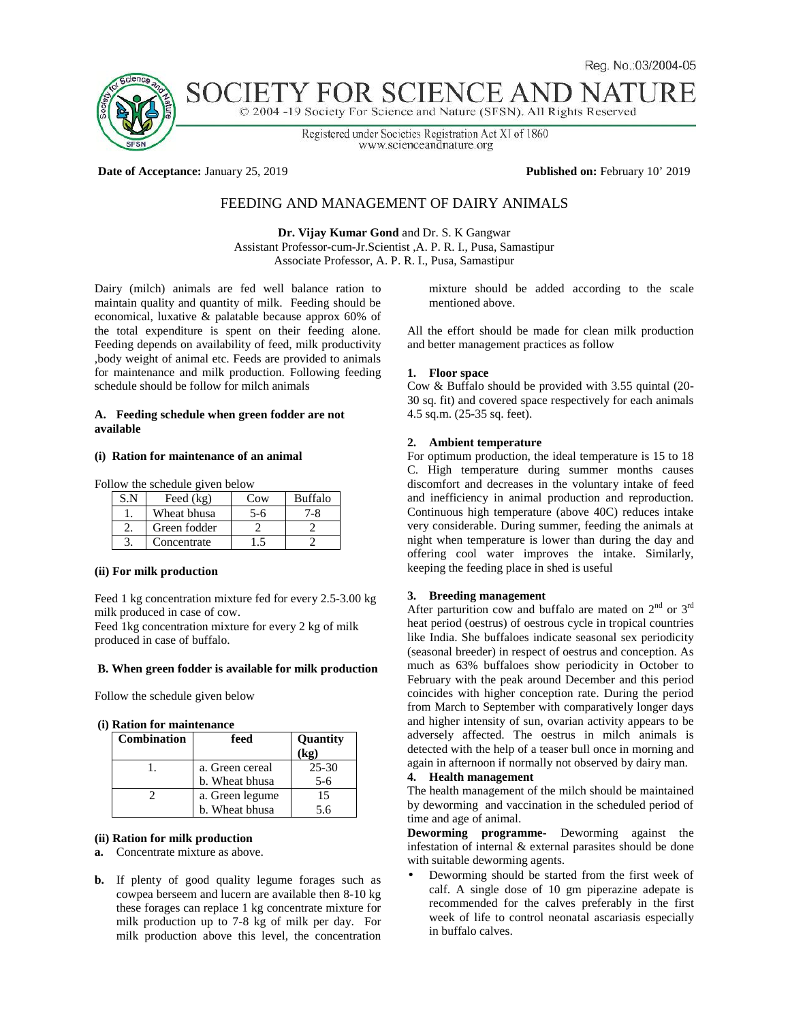

# SOCIETY F( OR SCIENCE A

© 2004 -19 Society For Science and Nature (SFSN). All Rights Reserved

Registered under Societies Registration Act XI of 1860 www.scienceandnature.org

**Date of Acceptance:** January 25, 2019 **Published on:** February 10' 2019

# FEEDING AND MANAGEMENT OF DAIRY ANIMALS

**Dr. Vijay Kumar Gond** and Dr. S. K Gangwar Assistant Professor-cum-Jr.Scientist ,A. P. R. I., Pusa, Samastipur Associate Professor, A. P. R. I., Pusa, Samastipur

Dairy (milch) animals are fed well balance ration to maintain quality and quantity of milk. Feeding should be economical, luxative & palatable because approx 60% of the total expenditure is spent on their feeding alone. Feeding depends on availability of feed, milk productivity ,body weight of animal etc. Feeds are provided to animals for maintenance and milk production. Following feeding schedule should be follow for milch animals

### **A. Feeding schedule when green fodder are not available**

## **(i) Ration for maintenance of an animal**

Follow the schedule given below

| S.N | Feed $(kg)$  | Cow | <b>Buffalo</b> |
|-----|--------------|-----|----------------|
|     | Wheat bhusa  | 5-6 | 7-8.           |
|     | Green fodder |     |                |
|     | Concentrate  |     |                |

#### **(ii) For milk production**

Feed 1 kg concentration mixture fed for every 2.5-3.00 kg milk produced in case of cow.

Feed 1kg concentration mixture for every 2 kg of milk produced in case of buffalo.

## **B. When green fodder is available for milk production**

Follow the schedule given below

**(i) Ration for maintenance**

| <b>Combination</b> | feed            | <b>Ouantity</b> |
|--------------------|-----------------|-----------------|
|                    |                 | (kø)            |
|                    | a. Green cereal | $25 - 30$       |
|                    | b. Wheat bhusa  | $5-6$           |
|                    | a. Green legume | 15              |
|                    | b. Wheat bhusa  | 5.6             |

#### **(ii) Ration for milk production**

- **a.** Concentrate mixture as above.
- **b.** If plenty of good quality legume forages such as cowpea berseem and lucern are available then 8-10 kg these forages can replace 1 kg concentrate mixture for milk production up to 7-8 kg of milk per day. For milk production above this level, the concentration

mixture should be added according to the scale mentioned above.

All the effort should be made for clean milk production and better management practices as follow

#### **1. Floor space**

Cow & Buffalo should be provided with 3.55 quintal (20- 30 sq. fit) and covered space respectively for each animals 4.5 sq.m. (25-35 sq. feet).

# **2. Ambient temperature**

For optimum production, the ideal temperature is 15 to 18 C. High temperature during summer months causes discomfort and decreases in the voluntary intake of feed and inefficiency in animal production and reproduction. Continuous high temperature (above 40C) reduces intake very considerable. During summer, feeding the animals at night when temperature is lower than during the day and offering cool water improves the intake. Similarly, keeping the feeding place in shed is useful

# **3. Breeding management**

After parturition cow and buffalo are mated on  $2<sup>nd</sup>$  or  $3<sup>rd</sup>$ heat period (oestrus) of oestrous cycle in tropical countries like India. She buffaloes indicate seasonal sex periodicity (seasonal breeder) in respect of oestrus and conception. As much as 63% buffaloes show periodicity in October to February with the peak around December and this period coincides with higher conception rate. During the period from March to September with comparatively longer days and higher intensity of sun, ovarian activity appears to be adversely affected. The oestrus in milch animals is detected with the help of a teaser bull once in morning and again in afternoon if normally not observed by dairy man. **4. Health management**

The health management of the milch should be maintained by deworming and vaccination in the scheduled period of time and age of animal.

**Deworming programme-** Deworming against the infestation of internal & external parasites should be done with suitable deworming agents.

 Deworming should be started from the first week of calf. A single dose of 10 gm piperazine adepate is recommended for the calves preferably in the first week of life to control neonatal ascariasis especially in buffalo calves.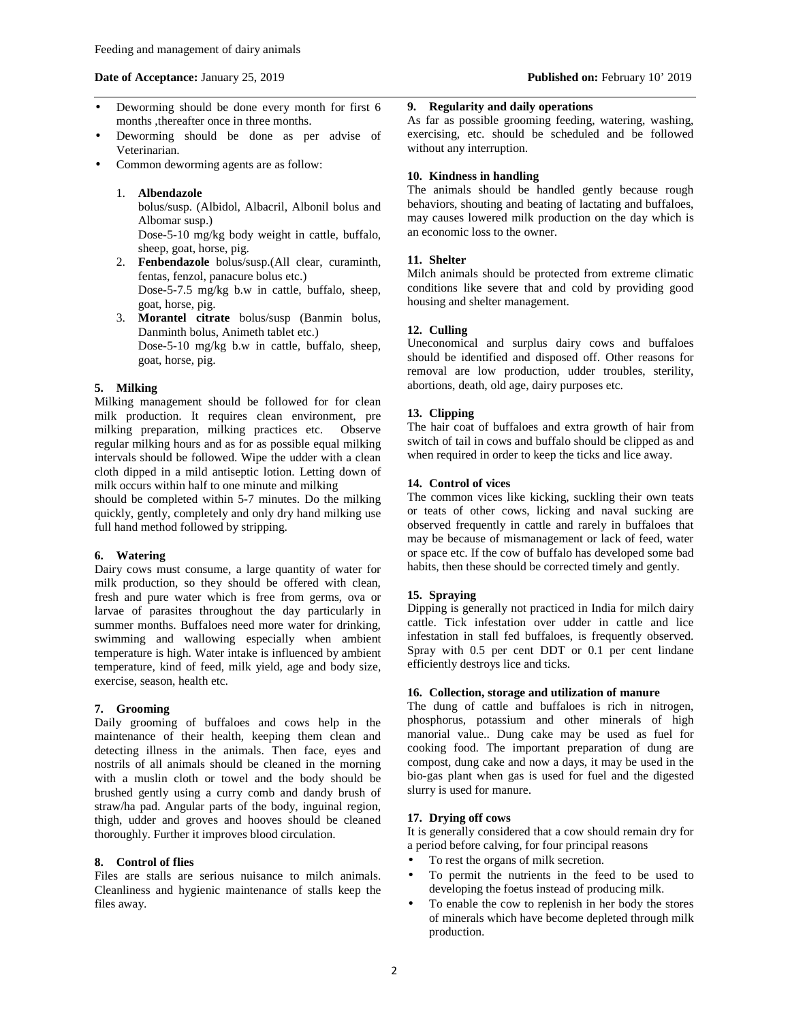### **Date of Acceptance:** January 25, 2019 **Published on:** February 10' 2019

- Deworming should be done every month for first 6 months ,thereafter once in three months.
- Deworming should be done as per advise of Veterinarian.
- Common deworming agents are as follow:
	- 1. **Albendazole**

bolus/susp. (Albidol, Albacril, Albonil bolus and Albomar susp.)

Dose-5-10 mg/kg body weight in cattle, buffalo, sheep, goat, horse, pig.

- 2. **Fenbendazole** bolus/susp.(All clear, curaminth, fentas, fenzol, panacure bolus etc.) Dose-5-7.5 mg/kg b.w in cattle, buffalo, sheep, goat, horse, pig.
- 3. **Morantel citrate** bolus/susp (Banmin bolus, Danminth bolus, Animeth tablet etc.) Dose-5-10 mg/kg b.w in cattle, buffalo, sheep, goat, horse, pig.

## **5. Milking**

Milking management should be followed for for clean milk production. It requires clean environment, pre milking preparation, milking practices etc. Observe regular milking hours and as for as possible equal milking intervals should be followed. Wipe the udder with a clean cloth dipped in a mild antiseptic lotion. Letting down of milk occurs within half to one minute and milking

should be completed within 5-7 minutes. Do the milking quickly, gently, completely and only dry hand milking use full hand method followed by stripping.

### **6. Watering**

Dairy cows must consume, a large quantity of water for milk production, so they should be offered with clean, fresh and pure water which is free from germs, ova or larvae of parasites throughout the day particularly in summer months. Buffaloes need more water for drinking, swimming and wallowing especially when ambient temperature is high. Water intake is influenced by ambient temperature, kind of feed, milk yield, age and body size, exercise, season, health etc.

#### **7. Grooming**

Daily grooming of buffaloes and cows help in the maintenance of their health, keeping them clean and detecting illness in the animals. Then face, eyes and nostrils of all animals should be cleaned in the morning with a muslin cloth or towel and the body should be brushed gently using a curry comb and dandy brush of straw/ha pad. Angular parts of the body, inguinal region, thigh, udder and groves and hooves should be cleaned thoroughly. Further it improves blood circulation.

### **8. Control of flies**

Files are stalls are serious nuisance to milch animals. Cleanliness and hygienic maintenance of stalls keep the files away.

# **9. Regularity and daily operations**

As far as possible grooming feeding, watering, washing, exercising, etc. should be scheduled and be followed without any interruption.

# **10. Kindness in handling**

The animals should be handled gently because rough behaviors, shouting and beating of lactating and buffaloes, may causes lowered milk production on the day which is an economic loss to the owner.

## **11. Shelter**

Milch animals should be protected from extreme climatic conditions like severe that and cold by providing good housing and shelter management.

#### **12. Culling**

Uneconomical and surplus dairy cows and buffaloes should be identified and disposed off. Other reasons for removal are low production, udder troubles, sterility, abortions, death, old age, dairy purposes etc.

### **13. Clipping**

The hair coat of buffaloes and extra growth of hair from switch of tail in cows and buffalo should be clipped as and when required in order to keep the ticks and lice away.

## **14. Control of vices**

The common vices like kicking, suckling their own teats or teats of other cows, licking and naval sucking are observed frequently in cattle and rarely in buffaloes that may be because of mismanagement or lack of feed, water or space etc. If the cow of buffalo has developed some bad habits, then these should be corrected timely and gently.

# **15. Spraying**

Dipping is generally not practiced in India for milch dairy cattle. Tick infestation over udder in cattle and lice infestation in stall fed buffaloes, is frequently observed. Spray with 0.5 per cent DDT or 0.1 per cent lindane efficiently destroys lice and ticks.

## **16. Collection, storage and utilization of manure**

The dung of cattle and buffaloes is rich in nitrogen, phosphorus, potassium and other minerals of high manorial value.. Dung cake may be used as fuel for cooking food. The important preparation of dung are compost, dung cake and now a days, it may be used in the bio-gas plant when gas is used for fuel and the digested slurry is used for manure.

# **17. Drying off cows**

It is generally considered that a cow should remain dry for a period before calving, for four principal reasons

- To rest the organs of milk secretion.
- To permit the nutrients in the feed to be used to developing the foetus instead of producing milk.
- To enable the cow to replenish in her body the stores of minerals which have become depleted through milk production.